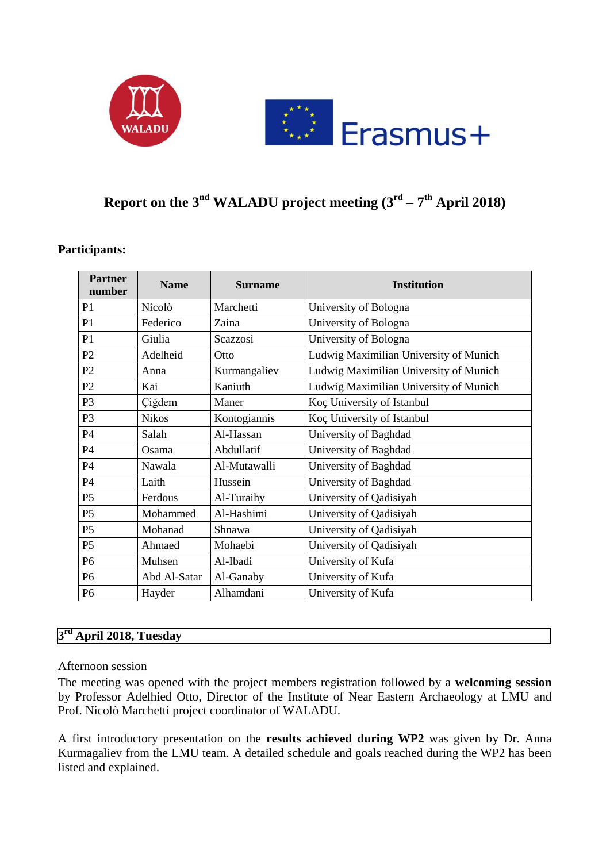



# **Report on the 3<sup>nd</sup> WALADU project meeting**  $(3^{\text{rd}} - 7^{\text{th}}$  **April 2018)**

| <b>Partner</b><br>number | <b>Name</b>  | <b>Surname</b> | <b>Institution</b>                     |
|--------------------------|--------------|----------------|----------------------------------------|
| P1                       | Nicolò       | Marchetti      | University of Bologna                  |
| P <sub>1</sub>           | Federico     | Zaina          | University of Bologna                  |
| P <sub>1</sub>           | Giulia       | Scazzosi       | University of Bologna                  |
| P2                       | Adelheid     | Otto           | Ludwig Maximilian University of Munich |
| P2                       | Anna         | Kurmangaliev   | Ludwig Maximilian University of Munich |
| P2                       | Kai          | Kaniuth        | Ludwig Maximilian University of Munich |
| P <sub>3</sub>           | Çiğdem       | Maner          | Koç University of Istanbul             |
| P <sub>3</sub>           | <b>Nikos</b> | Kontogiannis   | Koç University of Istanbul             |
| <b>P4</b>                | Salah        | Al-Hassan      | University of Baghdad                  |
| <b>P4</b>                | Osama        | Abdullatif     | University of Baghdad                  |
| <b>P4</b>                | Nawala       | Al-Mutawalli   | University of Baghdad                  |
| <b>P4</b>                | Laith        | Hussein        | University of Baghdad                  |
| P <sub>5</sub>           | Ferdous      | Al-Turaihy     | University of Qadisiyah                |
| P <sub>5</sub>           | Mohammed     | Al-Hashimi     | University of Qadisiyah                |
| P <sub>5</sub>           | Mohanad      | Shnawa         | University of Qadisiyah                |
| P <sub>5</sub>           | Ahmaed       | Mohaebi        | University of Qadisiyah                |
| P <sub>6</sub>           | Muhsen       | Al-Ibadi       | University of Kufa                     |
| P <sub>6</sub>           | Abd Al-Satar | Al-Ganaby      | University of Kufa                     |
| P <sub>6</sub>           | Hayder       | Alhamdani      | University of Kufa                     |

## **Participants:**

# **3 rd April 2018, Tuesday**

#### Afternoon session

The meeting was opened with the project members registration followed by a **welcoming session** by Professor Adelhied Otto, Director of the Institute of Near Eastern Archaeology at LMU and Prof. Nicolò Marchetti project coordinator of WALADU.

A first introductory presentation on the **results achieved during WP2** was given by Dr. Anna Kurmagaliev from the LMU team. A detailed schedule and goals reached during the WP2 has been listed and explained.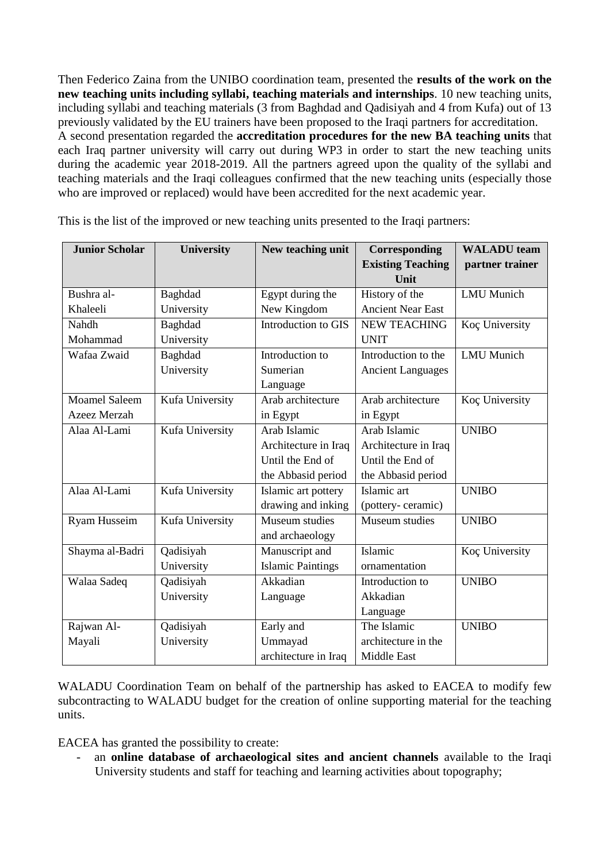Then Federico Zaina from the UNIBO coordination team, presented the **results of the work on the new teaching units including syllabi, teaching materials and internships**. 10 new teaching units, including syllabi and teaching materials (3 from Baghdad and Qadisiyah and 4 from Kufa) out of 13 previously validated by the EU trainers have been proposed to the Iraqi partners for accreditation. A second presentation regarded the **accreditation procedures for the new BA teaching units** that each Iraq partner university will carry out during WP3 in order to start the new teaching units during the academic year 2018-2019. All the partners agreed upon the quality of the syllabi and teaching materials and the Iraqi colleagues confirmed that the new teaching units (especially those who are improved or replaced) would have been accredited for the next academic year.

| <b>Junior Scholar</b> | <b>University</b> | New teaching unit        | Corresponding                    | <b>WALADU</b> team |
|-----------------------|-------------------|--------------------------|----------------------------------|--------------------|
|                       |                   |                          | <b>Existing Teaching</b><br>Unit | partner trainer    |
| Bushra al-            | Baghdad           | Egypt during the         | History of the                   | <b>LMU</b> Munich  |
| Khaleeli              | University        | New Kingdom              | <b>Ancient Near East</b>         |                    |
| Nahdh                 | Baghdad           | Introduction to GIS      | <b>NEW TEACHING</b>              | Koç University     |
|                       |                   |                          |                                  |                    |
| Mohammad              | University        |                          | <b>UNIT</b>                      |                    |
| Wafaa Zwaid           | Baghdad           | Introduction to          | Introduction to the              | <b>LMU</b> Munich  |
|                       | University        | Sumerian                 | <b>Ancient Languages</b>         |                    |
|                       |                   | Language                 |                                  |                    |
| <b>Moamel Saleem</b>  | Kufa University   | Arab architecture        | Arab architecture                | Koç University     |
| Azeez Merzah          |                   | in Egypt                 | in Egypt                         |                    |
| Alaa Al-Lami          | Kufa University   | Arab Islamic             | Arab Islamic                     | <b>UNIBO</b>       |
|                       |                   | Architecture in Iraq     | Architecture in Iraq             |                    |
|                       |                   | Until the End of         | Until the End of                 |                    |
|                       |                   | the Abbasid period       | the Abbasid period               |                    |
| Alaa Al-Lami          | Kufa University   | Islamic art pottery      | Islamic art                      | <b>UNIBO</b>       |
|                       |                   | drawing and inking       | (pottery-ceramic)                |                    |
| Ryam Husseim          | Kufa University   | Museum studies           | Museum studies                   | <b>UNIBO</b>       |
|                       |                   | and archaeology          |                                  |                    |
| Shayma al-Badri       | Qadisiyah         | Manuscript and           | Islamic                          | Koç University     |
|                       | University        | <b>Islamic Paintings</b> | ornamentation                    |                    |
| Walaa Sadeq           | Qadisiyah         | Akkadian                 | Introduction to                  | <b>UNIBO</b>       |
|                       | University        | Language                 | Akkadian                         |                    |
|                       |                   |                          | Language                         |                    |
| Rajwan Al-            | Qadisiyah         | Early and                | The Islamic                      | <b>UNIBO</b>       |
| Mayali                | University        | Ummayad                  | architecture in the              |                    |
|                       |                   | architecture in Iraq     | Middle East                      |                    |

This is the list of the improved or new teaching units presented to the Iraqi partners:

WALADU Coordination Team on behalf of the partnership has asked to EACEA to modify few subcontracting to WALADU budget for the creation of online supporting material for the teaching units.

EACEA has granted the possibility to create:

an **online database of archaeological sites and ancient channels** available to the Iraqi University students and staff for teaching and learning activities about topography;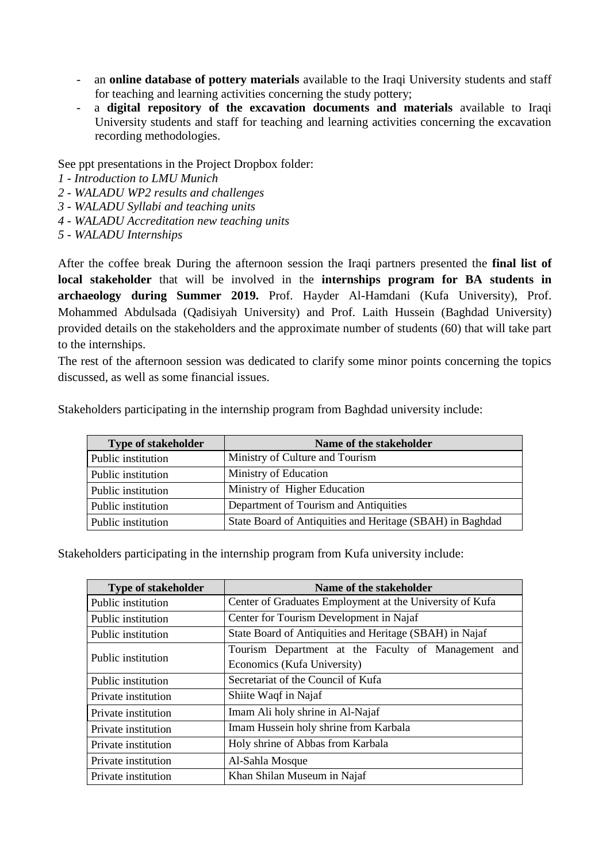- an **online database of pottery materials** available to the Iraqi University students and staff for teaching and learning activities concerning the study pottery;
- a **digital repository of the excavation documents and materials** available to Iraqi University students and staff for teaching and learning activities concerning the excavation recording methodologies.

See ppt presentations in the Project Dropbox folder:

- *1 - Introduction to LMU Munich*
- *2 - WALADU WP2 results and challenges*
- *3 - WALADU Syllabi and teaching units*
- *4 - WALADU Accreditation new teaching units*
- *5 - WALADU Internships*

After the coffee break During the afternoon session the Iraqi partners presented the **final list of local stakeholder** that will be involved in the **internships program for BA students in archaeology during Summer 2019.** Prof. Hayder Al-Hamdani (Kufa University), Prof. Mohammed Abdulsada (Qadisiyah University) and Prof. Laith Hussein (Baghdad University) provided details on the stakeholders and the approximate number of students (60) that will take part to the internships.

The rest of the afternoon session was dedicated to clarify some minor points concerning the topics discussed, as well as some financial issues.

| <b>Type of stakeholder</b> | Name of the stakeholder                                   |
|----------------------------|-----------------------------------------------------------|
| Public institution         | Ministry of Culture and Tourism                           |
| Public institution         | Ministry of Education                                     |
| Public institution         | Ministry of Higher Education                              |
| Public institution         | Department of Tourism and Antiquities                     |
| Public institution         | State Board of Antiquities and Heritage (SBAH) in Baghdad |

Stakeholders participating in the internship program from Baghdad university include:

Stakeholders participating in the internship program from Kufa university include:

| <b>Type of stakeholder</b> | Name of the stakeholder                                  |  |  |
|----------------------------|----------------------------------------------------------|--|--|
| Public institution         | Center of Graduates Employment at the University of Kufa |  |  |
| Public institution         | Center for Tourism Development in Najaf                  |  |  |
| Public institution         | State Board of Antiquities and Heritage (SBAH) in Najaf  |  |  |
|                            | Tourism Department at the Faculty of Management and      |  |  |
| Public institution         | Economics (Kufa University)                              |  |  |
| Public institution         | Secretariat of the Council of Kufa                       |  |  |
| Private institution        | Shiite Waqf in Najaf                                     |  |  |
| Private institution        | Imam Ali holy shrine in Al-Najaf                         |  |  |
| Private institution        | Imam Hussein holy shrine from Karbala                    |  |  |
| Private institution        | Holy shrine of Abbas from Karbala                        |  |  |
| Private institution        | Al-Sahla Mosque                                          |  |  |
| Private institution        | Khan Shilan Museum in Najaf                              |  |  |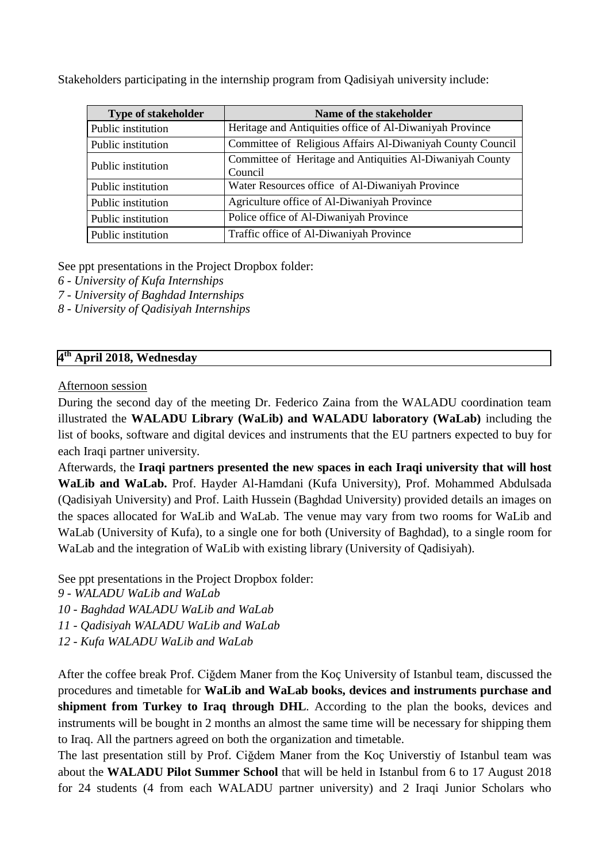Stakeholders participating in the internship program from Qadisiyah university include:

| <b>Type of stakeholder</b> | Name of the stakeholder                                              |
|----------------------------|----------------------------------------------------------------------|
| Public institution         | Heritage and Antiquities office of Al-Diwaniyah Province             |
| Public institution         | Committee of Religious Affairs Al-Diwaniyah County Council           |
| Public institution         | Committee of Heritage and Antiquities Al-Diwaniyah County<br>Council |
| Public institution         | Water Resources office of Al-Diwaniyah Province                      |
| Public institution         | Agriculture office of Al-Diwaniyah Province                          |
| Public institution         | Police office of Al-Diwaniyah Province                               |
| Public institution         | Traffic office of Al-Diwaniyah Province                              |

See ppt presentations in the Project Dropbox folder:

- *6 - University of Kufa Internships*
- *7 - University of Baghdad Internships*
- *8 - University of Qadisiyah Internships*

# **4 th April 2018, Wednesday**

#### Afternoon session

During the second day of the meeting Dr. Federico Zaina from the WALADU coordination team illustrated the **WALADU Library (WaLib) and WALADU laboratory (WaLab)** including the list of books, software and digital devices and instruments that the EU partners expected to buy for each Iraqi partner university.

Afterwards, the **Iraqi partners presented the new spaces in each Iraqi university that will host WaLib and WaLab.** Prof. Hayder Al-Hamdani (Kufa University), Prof. Mohammed Abdulsada (Qadisiyah University) and Prof. Laith Hussein (Baghdad University) provided details an images on the spaces allocated for WaLib and WaLab. The venue may vary from two rooms for WaLib and WaLab (University of Kufa), to a single one for both (University of Baghdad), to a single room for WaLab and the integration of WaLib with existing library (University of Qadisiyah).

See ppt presentations in the Project Dropbox folder:

- *9 - WALADU WaLib and WaLab*
- *10 - Baghdad WALADU WaLib and WaLab*
- *11 - Qadisiyah WALADU WaLib and WaLab*
- *12 - Kufa WALADU WaLib and WaLab*

After the coffee break Prof. Ciğdem Maner from the Koç University of Istanbul team, discussed the procedures and timetable for **WaLib and WaLab books, devices and instruments purchase and shipment from Turkey to Iraq through DHL**. According to the plan the books, devices and instruments will be bought in 2 months an almost the same time will be necessary for shipping them to Iraq. All the partners agreed on both the organization and timetable.

The last presentation still by Prof. Ciğdem Maner from the Koç Universtiy of Istanbul team was about the **WALADU Pilot Summer School** that will be held in Istanbul from 6 to 17 August 2018 for 24 students (4 from each WALADU partner university) and 2 Iraqi Junior Scholars who